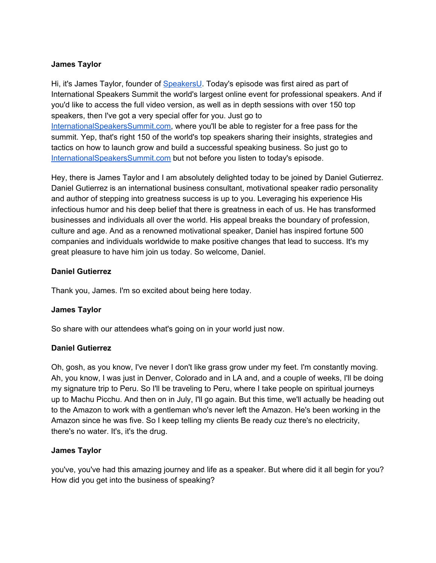### **James Taylor**

Hi, it's James Taylor, founder of [SpeakersU.](https://speakersu.com/) Today's episode was first aired as part of International Speakers Summit the world's largest online event for professional speakers. And if you'd like to access the full video version, as well as in depth sessions with over 150 top speakers, then I've got a very special offer for you. Just go to [InternationalSpeakersSummit.com](http://internationalspeakerssummit.com/), where you'll be able to register for a free pass for the summit. Yep, that's right 150 of the world's top speakers sharing their insights, strategies and tactics on how to launch grow and build a successful speaking business. So just go t[o](http://internationalspeakerssummit.com/) [InternationalSpeakersSummit.com](http://internationalspeakerssummit.com/) but not before you listen to today's episode.

Hey, there is James Taylor and I am absolutely delighted today to be joined by Daniel Gutierrez. Daniel Gutierrez is an international business consultant, motivational speaker radio personality and author of stepping into greatness success is up to you. Leveraging his experience His infectious humor and his deep belief that there is greatness in each of us. He has transformed businesses and individuals all over the world. His appeal breaks the boundary of profession, culture and age. And as a renowned motivational speaker, Daniel has inspired fortune 500 companies and individuals worldwide to make positive changes that lead to success. It's my great pleasure to have him join us today. So welcome, Daniel.

### **Daniel Gutierrez**

Thank you, James. I'm so excited about being here today.

#### **James Taylor**

So share with our attendees what's going on in your world just now.

#### **Daniel Gutierrez**

Oh, gosh, as you know, I've never I don't like grass grow under my feet. I'm constantly moving. Ah, you know, I was just in Denver, Colorado and in LA and, and a couple of weeks, I'll be doing my signature trip to Peru. So I'll be traveling to Peru, where I take people on spiritual journeys up to Machu Picchu. And then on in July, I'll go again. But this time, we'll actually be heading out to the Amazon to work with a gentleman who's never left the Amazon. He's been working in the Amazon since he was five. So I keep telling my clients Be ready cuz there's no electricity, there's no water. It's, it's the drug.

#### **James Taylor**

you've, you've had this amazing journey and life as a speaker. But where did it all begin for you? How did you get into the business of speaking?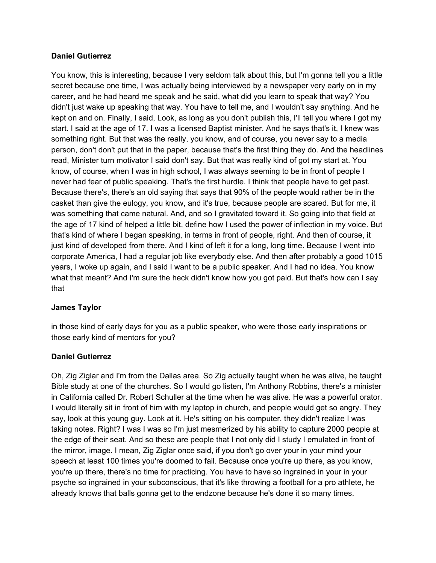#### **Daniel Gutierrez**

You know, this is interesting, because I very seldom talk about this, but I'm gonna tell you a little secret because one time, I was actually being interviewed by a newspaper very early on in my career, and he had heard me speak and he said, what did you learn to speak that way? You didn't just wake up speaking that way. You have to tell me, and I wouldn't say anything. And he kept on and on. Finally, I said, Look, as long as you don't publish this, I'll tell you where I got my start. I said at the age of 17. I was a licensed Baptist minister. And he says that's it, I knew was something right. But that was the really, you know, and of course, you never say to a media person, don't don't put that in the paper, because that's the first thing they do. And the headlines read, Minister turn motivator I said don't say. But that was really kind of got my start at. You know, of course, when I was in high school, I was always seeming to be in front of people I never had fear of public speaking. That's the first hurdle. I think that people have to get past. Because there's, there's an old saying that says that 90% of the people would rather be in the casket than give the eulogy, you know, and it's true, because people are scared. But for me, it was something that came natural. And, and so I gravitated toward it. So going into that field at the age of 17 kind of helped a little bit, define how I used the power of inflection in my voice. But that's kind of where I began speaking, in terms in front of people, right. And then of course, it just kind of developed from there. And I kind of left it for a long, long time. Because I went into corporate America, I had a regular job like everybody else. And then after probably a good 1015 years, I woke up again, and I said I want to be a public speaker. And I had no idea. You know what that meant? And I'm sure the heck didn't know how you got paid. But that's how can I say that

#### **James Taylor**

in those kind of early days for you as a public speaker, who were those early inspirations or those early kind of mentors for you?

#### **Daniel Gutierrez**

Oh, Zig Ziglar and I'm from the Dallas area. So Zig actually taught when he was alive, he taught Bible study at one of the churches. So I would go listen, I'm Anthony Robbins, there's a minister in California called Dr. Robert Schuller at the time when he was alive. He was a powerful orator. I would literally sit in front of him with my laptop in church, and people would get so angry. They say, look at this young guy. Look at it. He's sitting on his computer, they didn't realize I was taking notes. Right? I was I was so I'm just mesmerized by his ability to capture 2000 people at the edge of their seat. And so these are people that I not only did I study I emulated in front of the mirror, image. I mean, Zig Ziglar once said, if you don't go over your in your mind your speech at least 100 times you're doomed to fail. Because once you're up there, as you know, you're up there, there's no time for practicing. You have to have so ingrained in your in your psyche so ingrained in your subconscious, that it's like throwing a football for a pro athlete, he already knows that balls gonna get to the endzone because he's done it so many times.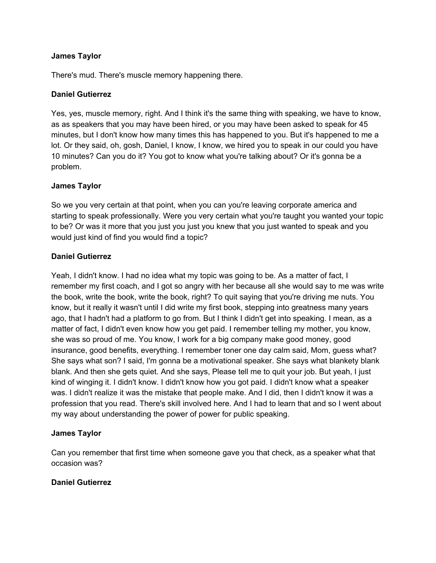#### **James Taylor**

There's mud. There's muscle memory happening there.

### **Daniel Gutierrez**

Yes, yes, muscle memory, right. And I think it's the same thing with speaking, we have to know, as as speakers that you may have been hired, or you may have been asked to speak for 45 minutes, but I don't know how many times this has happened to you. But it's happened to me a lot. Or they said, oh, gosh, Daniel, I know, I know, we hired you to speak in our could you have 10 minutes? Can you do it? You got to know what you're talking about? Or it's gonna be a problem.

### **James Taylor**

So we you very certain at that point, when you can you're leaving corporate america and starting to speak professionally. Were you very certain what you're taught you wanted your topic to be? Or was it more that you just you just you knew that you just wanted to speak and you would just kind of find you would find a topic?

### **Daniel Gutierrez**

Yeah, I didn't know. I had no idea what my topic was going to be. As a matter of fact, I remember my first coach, and I got so angry with her because all she would say to me was write the book, write the book, write the book, right? To quit saying that you're driving me nuts. You know, but it really it wasn't until I did write my first book, stepping into greatness many years ago, that I hadn't had a platform to go from. But I think I didn't get into speaking. I mean, as a matter of fact, I didn't even know how you get paid. I remember telling my mother, you know, she was so proud of me. You know, I work for a big company make good money, good insurance, good benefits, everything. I remember toner one day calm said, Mom, guess what? She says what son? I said, I'm gonna be a motivational speaker. She says what blankety blank blank. And then she gets quiet. And she says, Please tell me to quit your job. But yeah, I just kind of winging it. I didn't know. I didn't know how you got paid. I didn't know what a speaker was. I didn't realize it was the mistake that people make. And I did, then I didn't know it was a profession that you read. There's skill involved here. And I had to learn that and so I went about my way about understanding the power of power for public speaking.

## **James Taylor**

Can you remember that first time when someone gave you that check, as a speaker what that occasion was?

#### **Daniel Gutierrez**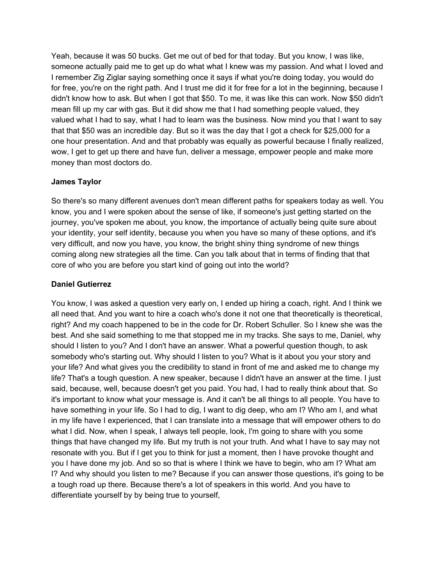Yeah, because it was 50 bucks. Get me out of bed for that today. But you know, I was like, someone actually paid me to get up do what what I knew was my passion. And what I loved and I remember Zig Ziglar saying something once it says if what you're doing today, you would do for free, you're on the right path. And I trust me did it for free for a lot in the beginning, because I didn't know how to ask. But when I got that \$50. To me, it was like this can work. Now \$50 didn't mean fill up my car with gas. But it did show me that I had something people valued, they valued what I had to say, what I had to learn was the business. Now mind you that I want to say that that \$50 was an incredible day. But so it was the day that I got a check for \$25,000 for a one hour presentation. And and that probably was equally as powerful because I finally realized, wow, I get to get up there and have fun, deliver a message, empower people and make more money than most doctors do.

### **James Taylor**

So there's so many different avenues don't mean different paths for speakers today as well. You know, you and I were spoken about the sense of like, if someone's just getting started on the journey, you've spoken me about, you know, the importance of actually being quite sure about your identity, your self identity, because you when you have so many of these options, and it's very difficult, and now you have, you know, the bright shiny thing syndrome of new things coming along new strategies all the time. Can you talk about that in terms of finding that that core of who you are before you start kind of going out into the world?

#### **Daniel Gutierrez**

You know, I was asked a question very early on, I ended up hiring a coach, right. And I think we all need that. And you want to hire a coach who's done it not one that theoretically is theoretical, right? And my coach happened to be in the code for Dr. Robert Schuller. So I knew she was the best. And she said something to me that stopped me in my tracks. She says to me, Daniel, why should I listen to you? And I don't have an answer. What a powerful question though, to ask somebody who's starting out. Why should I listen to you? What is it about you your story and your life? And what gives you the credibility to stand in front of me and asked me to change my life? That's a tough question. A new speaker, because I didn't have an answer at the time. I just said, because, well, because doesn't get you paid. You had, I had to really think about that. So it's important to know what your message is. And it can't be all things to all people. You have to have something in your life. So I had to dig, I want to dig deep, who am I? Who am I, and what in my life have I experienced, that I can translate into a message that will empower others to do what I did. Now, when I speak, I always tell people, look, I'm going to share with you some things that have changed my life. But my truth is not your truth. And what I have to say may not resonate with you. But if I get you to think for just a moment, then I have provoke thought and you I have done my job. And so so that is where I think we have to begin, who am I? What am I? And why should you listen to me? Because if you can answer those questions, it's going to be a tough road up there. Because there's a lot of speakers in this world. And you have to differentiate yourself by by being true to yourself,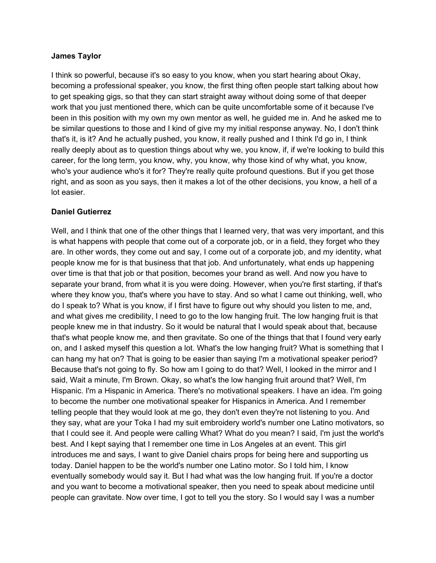#### **James Taylor**

I think so powerful, because it's so easy to you know, when you start hearing about Okay, becoming a professional speaker, you know, the first thing often people start talking about how to get speaking gigs, so that they can start straight away without doing some of that deeper work that you just mentioned there, which can be quite uncomfortable some of it because I've been in this position with my own my own mentor as well, he guided me in. And he asked me to be similar questions to those and I kind of give my my initial response anyway. No, I don't think that's it, is it? And he actually pushed, you know, it really pushed and I think I'd go in, I think really deeply about as to question things about why we, you know, if, if we're looking to build this career, for the long term, you know, why, you know, why those kind of why what, you know, who's your audience who's it for? They're really quite profound questions. But if you get those right, and as soon as you says, then it makes a lot of the other decisions, you know, a hell of a lot easier.

#### **Daniel Gutierrez**

Well, and I think that one of the other things that I learned very, that was very important, and this is what happens with people that come out of a corporate job, or in a field, they forget who they are. In other words, they come out and say, I come out of a corporate job, and my identity, what people know me for is that business that that job. And unfortunately, what ends up happening over time is that that job or that position, becomes your brand as well. And now you have to separate your brand, from what it is you were doing. However, when you're first starting, if that's where they know you, that's where you have to stay. And so what I came out thinking, well, who do I speak to? What is you know, if I first have to figure out why should you listen to me, and, and what gives me credibility, I need to go to the low hanging fruit. The low hanging fruit is that people knew me in that industry. So it would be natural that I would speak about that, because that's what people know me, and then gravitate. So one of the things that that I found very early on, and I asked myself this question a lot. What's the low hanging fruit? What is something that I can hang my hat on? That is going to be easier than saying I'm a motivational speaker period? Because that's not going to fly. So how am I going to do that? Well, I looked in the mirror and I said, Wait a minute, I'm Brown. Okay, so what's the low hanging fruit around that? Well, I'm Hispanic. I'm a Hispanic in America. There's no motivational speakers. I have an idea. I'm going to become the number one motivational speaker for Hispanics in America. And I remember telling people that they would look at me go, they don't even they're not listening to you. And they say, what are your Toka I had my suit embroidery world's number one Latino motivators, so that I could see it. And people were calling What? What do you mean? I said, I'm just the world's best. And I kept saying that I remember one time in Los Angeles at an event. This girl introduces me and says, I want to give Daniel chairs props for being here and supporting us today. Daniel happen to be the world's number one Latino motor. So I told him, I know eventually somebody would say it. But I had what was the low hanging fruit. If you're a doctor and you want to become a motivational speaker, then you need to speak about medicine until people can gravitate. Now over time, I got to tell you the story. So I would say I was a number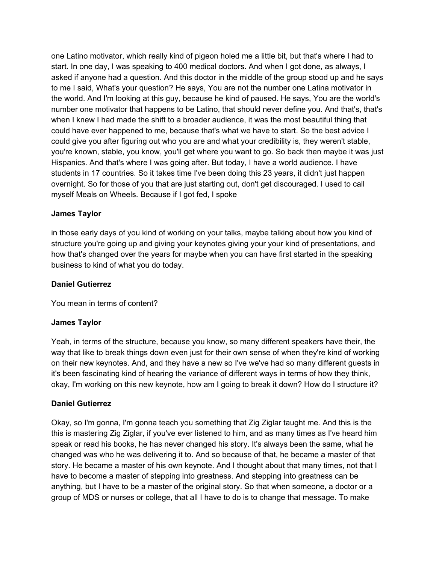one Latino motivator, which really kind of pigeon holed me a little bit, but that's where I had to start. In one day, I was speaking to 400 medical doctors. And when I got done, as always, I asked if anyone had a question. And this doctor in the middle of the group stood up and he says to me I said, What's your question? He says, You are not the number one Latina motivator in the world. And I'm looking at this guy, because he kind of paused. He says, You are the world's number one motivator that happens to be Latino, that should never define you. And that's, that's when I knew I had made the shift to a broader audience, it was the most beautiful thing that could have ever happened to me, because that's what we have to start. So the best advice I could give you after figuring out who you are and what your credibility is, they weren't stable, you're known, stable, you know, you'll get where you want to go. So back then maybe it was just Hispanics. And that's where I was going after. But today, I have a world audience. I have students in 17 countries. So it takes time I've been doing this 23 years, it didn't just happen overnight. So for those of you that are just starting out, don't get discouraged. I used to call myself Meals on Wheels. Because if I got fed, I spoke

### **James Taylor**

in those early days of you kind of working on your talks, maybe talking about how you kind of structure you're going up and giving your keynotes giving your your kind of presentations, and how that's changed over the years for maybe when you can have first started in the speaking business to kind of what you do today.

#### **Daniel Gutierrez**

You mean in terms of content?

## **James Taylor**

Yeah, in terms of the structure, because you know, so many different speakers have their, the way that like to break things down even just for their own sense of when they're kind of working on their new keynotes. And, and they have a new so I've we've had so many different guests in it's been fascinating kind of hearing the variance of different ways in terms of how they think, okay, I'm working on this new keynote, how am I going to break it down? How do I structure it?

#### **Daniel Gutierrez**

Okay, so I'm gonna, I'm gonna teach you something that Zig Ziglar taught me. And this is the this is mastering Zig Ziglar, if you've ever listened to him, and as many times as I've heard him speak or read his books, he has never changed his story. It's always been the same, what he changed was who he was delivering it to. And so because of that, he became a master of that story. He became a master of his own keynote. And I thought about that many times, not that I have to become a master of stepping into greatness. And stepping into greatness can be anything, but I have to be a master of the original story. So that when someone, a doctor or a group of MDS or nurses or college, that all I have to do is to change that message. To make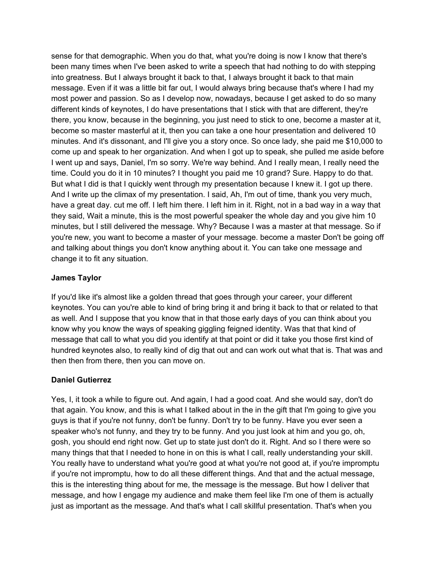sense for that demographic. When you do that, what you're doing is now I know that there's been many times when I've been asked to write a speech that had nothing to do with stepping into greatness. But I always brought it back to that, I always brought it back to that main message. Even if it was a little bit far out, I would always bring because that's where I had my most power and passion. So as I develop now, nowadays, because I get asked to do so many different kinds of keynotes, I do have presentations that I stick with that are different, they're there, you know, because in the beginning, you just need to stick to one, become a master at it, become so master masterful at it, then you can take a one hour presentation and delivered 10 minutes. And it's dissonant, and I'll give you a story once. So once lady, she paid me \$10,000 to come up and speak to her organization. And when I got up to speak, she pulled me aside before I went up and says, Daniel, I'm so sorry. We're way behind. And I really mean, I really need the time. Could you do it in 10 minutes? I thought you paid me 10 grand? Sure. Happy to do that. But what I did is that I quickly went through my presentation because I knew it. I got up there. And I write up the climax of my presentation. I said, Ah, I'm out of time, thank you very much, have a great day. cut me off. I left him there. I left him in it. Right, not in a bad way in a way that they said, Wait a minute, this is the most powerful speaker the whole day and you give him 10 minutes, but I still delivered the message. Why? Because I was a master at that message. So if you're new, you want to become a master of your message. become a master Don't be going off and talking about things you don't know anything about it. You can take one message and change it to fit any situation.

## **James Taylor**

If you'd like it's almost like a golden thread that goes through your career, your different keynotes. You can you're able to kind of bring bring it and bring it back to that or related to that as well. And I suppose that you know that in that those early days of you can think about you know why you know the ways of speaking giggling feigned identity. Was that that kind of message that call to what you did you identify at that point or did it take you those first kind of hundred keynotes also, to really kind of dig that out and can work out what that is. That was and then then from there, then you can move on.

## **Daniel Gutierrez**

Yes, I, it took a while to figure out. And again, I had a good coat. And she would say, don't do that again. You know, and this is what I talked about in the in the gift that I'm going to give you guys is that if you're not funny, don't be funny. Don't try to be funny. Have you ever seen a speaker who's not funny, and they try to be funny. And you just look at him and you go, oh, gosh, you should end right now. Get up to state just don't do it. Right. And so I there were so many things that that I needed to hone in on this is what I call, really understanding your skill. You really have to understand what you're good at what you're not good at, if you're impromptu if you're not impromptu, how to do all these different things. And that and the actual message, this is the interesting thing about for me, the message is the message. But how I deliver that message, and how I engage my audience and make them feel like I'm one of them is actually just as important as the message. And that's what I call skillful presentation. That's when you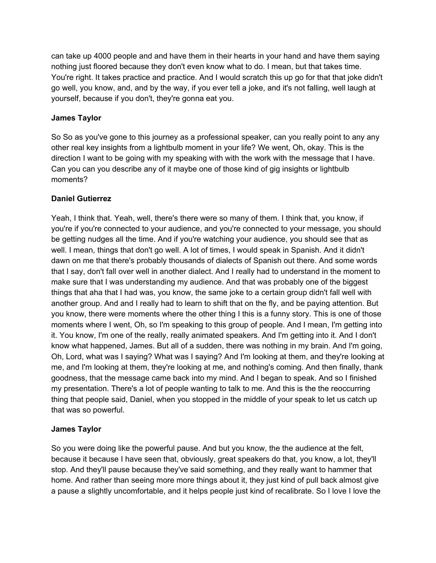can take up 4000 people and and have them in their hearts in your hand and have them saying nothing just floored because they don't even know what to do. I mean, but that takes time. You're right. It takes practice and practice. And I would scratch this up go for that that joke didn't go well, you know, and, and by the way, if you ever tell a joke, and it's not falling, well laugh at yourself, because if you don't, they're gonna eat you.

## **James Taylor**

So So as you've gone to this journey as a professional speaker, can you really point to any any other real key insights from a lightbulb moment in your life? We went, Oh, okay. This is the direction I want to be going with my speaking with with the work with the message that I have. Can you can you describe any of it maybe one of those kind of gig insights or lightbulb moments?

## **Daniel Gutierrez**

Yeah, I think that. Yeah, well, there's there were so many of them. I think that, you know, if you're if you're connected to your audience, and you're connected to your message, you should be getting nudges all the time. And if you're watching your audience, you should see that as well. I mean, things that don't go well. A lot of times, I would speak in Spanish. And it didn't dawn on me that there's probably thousands of dialects of Spanish out there. And some words that I say, don't fall over well in another dialect. And I really had to understand in the moment to make sure that I was understanding my audience. And that was probably one of the biggest things that aha that I had was, you know, the same joke to a certain group didn't fall well with another group. And and I really had to learn to shift that on the fly, and be paying attention. But you know, there were moments where the other thing I this is a funny story. This is one of those moments where I went, Oh, so I'm speaking to this group of people. And I mean, I'm getting into it. You know, I'm one of the really, really animated speakers. And I'm getting into it. And I don't know what happened, James. But all of a sudden, there was nothing in my brain. And I'm going, Oh, Lord, what was I saying? What was I saying? And I'm looking at them, and they're looking at me, and I'm looking at them, they're looking at me, and nothing's coming. And then finally, thank goodness, that the message came back into my mind. And I began to speak. And so I finished my presentation. There's a lot of people wanting to talk to me. And this is the the reoccurring thing that people said, Daniel, when you stopped in the middle of your speak to let us catch up that was so powerful.

## **James Taylor**

So you were doing like the powerful pause. And but you know, the the audience at the felt, because it because I have seen that, obviously, great speakers do that, you know, a lot, they'll stop. And they'll pause because they've said something, and they really want to hammer that home. And rather than seeing more more things about it, they just kind of pull back almost give a pause a slightly uncomfortable, and it helps people just kind of recalibrate. So I love I love the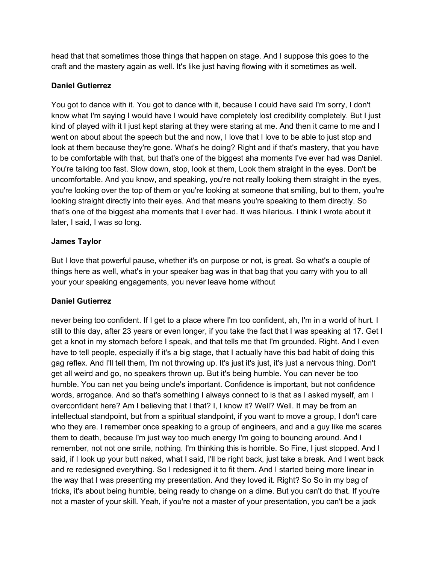head that that sometimes those things that happen on stage. And I suppose this goes to the craft and the mastery again as well. It's like just having flowing with it sometimes as well.

### **Daniel Gutierrez**

You got to dance with it. You got to dance with it, because I could have said I'm sorry, I don't know what I'm saying I would have I would have completely lost credibility completely. But I just kind of played with it I just kept staring at they were staring at me. And then it came to me and I went on about about the speech but the and now, I love that I love to be able to just stop and look at them because they're gone. What's he doing? Right and if that's mastery, that you have to be comfortable with that, but that's one of the biggest aha moments I've ever had was Daniel. You're talking too fast. Slow down, stop, look at them, Look them straight in the eyes. Don't be uncomfortable. And you know, and speaking, you're not really looking them straight in the eyes, you're looking over the top of them or you're looking at someone that smiling, but to them, you're looking straight directly into their eyes. And that means you're speaking to them directly. So that's one of the biggest aha moments that I ever had. It was hilarious. I think I wrote about it later, I said, I was so long.

## **James Taylor**

But I love that powerful pause, whether it's on purpose or not, is great. So what's a couple of things here as well, what's in your speaker bag was in that bag that you carry with you to all your your speaking engagements, you never leave home without

## **Daniel Gutierrez**

never being too confident. If I get to a place where I'm too confident, ah, I'm in a world of hurt. I still to this day, after 23 years or even longer, if you take the fact that I was speaking at 17. Get I get a knot in my stomach before I speak, and that tells me that I'm grounded. Right. And I even have to tell people, especially if it's a big stage, that I actually have this bad habit of doing this gag reflex. And I'll tell them, I'm not throwing up. It's just it's just, it's just a nervous thing. Don't get all weird and go, no speakers thrown up. But it's being humble. You can never be too humble. You can net you being uncle's important. Confidence is important, but not confidence words, arrogance. And so that's something I always connect to is that as I asked myself, am I overconfident here? Am I believing that I that? I, I know it? Well? Well. It may be from an intellectual standpoint, but from a spiritual standpoint, if you want to move a group, I don't care who they are. I remember once speaking to a group of engineers, and and a guy like me scares them to death, because I'm just way too much energy I'm going to bouncing around. And I remember, not not one smile, nothing. I'm thinking this is horrible. So Fine, I just stopped. And I said, if I look up your butt naked, what I said, I'll be right back, just take a break. And I went back and re redesigned everything. So I redesigned it to fit them. And I started being more linear in the way that I was presenting my presentation. And they loved it. Right? So So in my bag of tricks, it's about being humble, being ready to change on a dime. But you can't do that. If you're not a master of your skill. Yeah, if you're not a master of your presentation, you can't be a jack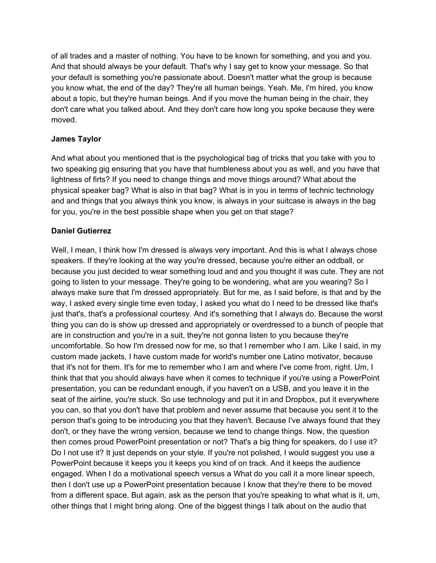of all trades and a master of nothing. You have to be known for something, and you and you. And that should always be your default. That's why I say get to know your message. So that your default is something you're passionate about. Doesn't matter what the group is because you know what, the end of the day? They're all human beings. Yeah. Me, I'm hired, you know about a topic, but they're human beings. And if you move the human being in the chair, they don't care what you talked about. And they don't care how long you spoke because they were moved.

## **James Taylor**

And what about you mentioned that is the psychological bag of tricks that you take with you to two speaking gig ensuring that you have that humbleness about you as well, and you have that lightness of firts? If you need to change things and move things around? What about the physical speaker bag? What is also in that bag? What is in you in terms of technic technology and and things that you always think you know, is always in your suitcase is always in the bag for you, you're in the best possible shape when you get on that stage?

# **Daniel Gutierrez**

Well, I mean, I think how I'm dressed is always very important. And this is what I always chose speakers. If they're looking at the way you're dressed, because you're either an oddball, or because you just decided to wear something loud and and you thought it was cute. They are not going to listen to your message. They're going to be wondering, what are you wearing? So I always make sure that I'm dressed appropriately. But for me, as I said before, is that and by the way, I asked every single time even today, I asked you what do I need to be dressed like that's just that's, that's a professional courtesy. And it's something that I always do. Because the worst thing you can do is show up dressed and appropriately or overdressed to a bunch of people that are in construction and you're in a suit, they're not gonna listen to you because they're uncomfortable. So how I'm dressed now for me, so that I remember who I am. Like I said, in my custom made jackets, I have custom made for world's number one Latino motivator, because that it's not for them. It's for me to remember who I am and where I've come from, right. Um, I think that that you should always have when it comes to technique if you're using a PowerPoint presentation, you can be redundant enough, if you haven't on a USB, and you leave it in the seat of the airline, you're stuck. So use technology and put it in and Dropbox, put it everywhere you can, so that you don't have that problem and never assume that because you sent it to the person that's going to be introducing you that they haven't. Because I've always found that they don't, or they have the wrong version, because we tend to change things. Now, the question then comes proud PowerPoint presentation or not? That's a big thing for speakers, do I use it? Do I not use it? It just depends on your style. If you're not polished, I would suggest you use a PowerPoint because it keeps you it keeps you kind of on track. And it keeps the audience engaged. When I do a motivational speech versus a What do you call it a more linear speech, then I don't use up a PowerPoint presentation because I know that they're there to be moved from a different space. But again, ask as the person that you're speaking to what what is it, um, other things that I might bring along. One of the biggest things I talk about on the audio that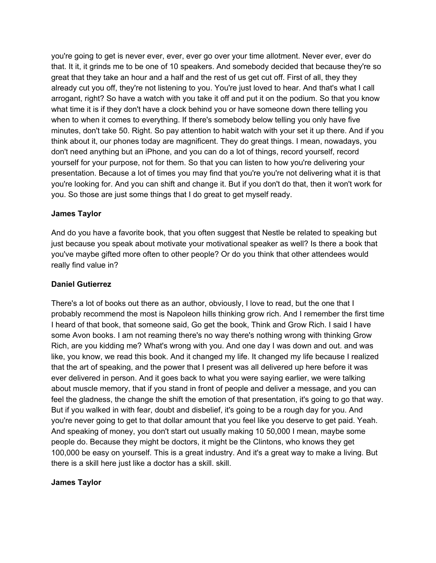you're going to get is never ever, ever, ever go over your time allotment. Never ever, ever do that. It it, it grinds me to be one of 10 speakers. And somebody decided that because they're so great that they take an hour and a half and the rest of us get cut off. First of all, they they already cut you off, they're not listening to you. You're just loved to hear. And that's what I call arrogant, right? So have a watch with you take it off and put it on the podium. So that you know what time it is if they don't have a clock behind you or have someone down there telling you when to when it comes to everything. If there's somebody below telling you only have five minutes, don't take 50. Right. So pay attention to habit watch with your set it up there. And if you think about it, our phones today are magnificent. They do great things. I mean, nowadays, you don't need anything but an iPhone, and you can do a lot of things, record yourself, record yourself for your purpose, not for them. So that you can listen to how you're delivering your presentation. Because a lot of times you may find that you're you're not delivering what it is that you're looking for. And you can shift and change it. But if you don't do that, then it won't work for you. So those are just some things that I do great to get myself ready.

### **James Taylor**

And do you have a favorite book, that you often suggest that Nestle be related to speaking but just because you speak about motivate your motivational speaker as well? Is there a book that you've maybe gifted more often to other people? Or do you think that other attendees would really find value in?

#### **Daniel Gutierrez**

There's a lot of books out there as an author, obviously, I love to read, but the one that I probably recommend the most is Napoleon hills thinking grow rich. And I remember the first time I heard of that book, that someone said, Go get the book, Think and Grow Rich. I said I have some Avon books. I am not reaming there's no way there's nothing wrong with thinking Grow Rich, are you kidding me? What's wrong with you. And one day I was down and out. and was like, you know, we read this book. And it changed my life. It changed my life because I realized that the art of speaking, and the power that I present was all delivered up here before it was ever delivered in person. And it goes back to what you were saying earlier, we were talking about muscle memory, that if you stand in front of people and deliver a message, and you can feel the gladness, the change the shift the emotion of that presentation, it's going to go that way. But if you walked in with fear, doubt and disbelief, it's going to be a rough day for you. And you're never going to get to that dollar amount that you feel like you deserve to get paid. Yeah. And speaking of money, you don't start out usually making 10 50,000 I mean, maybe some people do. Because they might be doctors, it might be the Clintons, who knows they get 100,000 be easy on yourself. This is a great industry. And it's a great way to make a living. But there is a skill here just like a doctor has a skill. skill.

#### **James Taylor**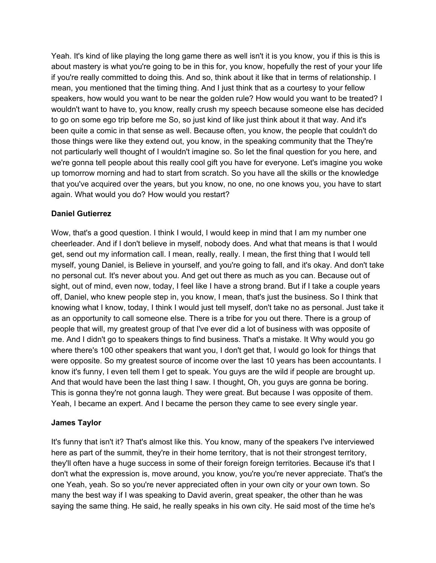Yeah. It's kind of like playing the long game there as well isn't it is you know, you if this is this is about mastery is what you're going to be in this for, you know, hopefully the rest of your your life if you're really committed to doing this. And so, think about it like that in terms of relationship. I mean, you mentioned that the timing thing. And I just think that as a courtesy to your fellow speakers, how would you want to be near the golden rule? How would you want to be treated? I wouldn't want to have to, you know, really crush my speech because someone else has decided to go on some ego trip before me So, so just kind of like just think about it that way. And it's been quite a comic in that sense as well. Because often, you know, the people that couldn't do those things were like they extend out, you know, in the speaking community that the They're not particularly well thought of I wouldn't imagine so. So let the final question for you here, and we're gonna tell people about this really cool gift you have for everyone. Let's imagine you woke up tomorrow morning and had to start from scratch. So you have all the skills or the knowledge that you've acquired over the years, but you know, no one, no one knows you, you have to start again. What would you do? How would you restart?

## **Daniel Gutierrez**

Wow, that's a good question. I think I would, I would keep in mind that I am my number one cheerleader. And if I don't believe in myself, nobody does. And what that means is that I would get, send out my information call. I mean, really, really. I mean, the first thing that I would tell myself, young Daniel, is Believe in yourself, and you're going to fall, and it's okay. And don't take no personal cut. It's never about you. And get out there as much as you can. Because out of sight, out of mind, even now, today, I feel like I have a strong brand. But if I take a couple years off, Daniel, who knew people step in, you know, I mean, that's just the business. So I think that knowing what I know, today, I think I would just tell myself, don't take no as personal. Just take it as an opportunity to call someone else. There is a tribe for you out there. There is a group of people that will, my greatest group of that I've ever did a lot of business with was opposite of me. And I didn't go to speakers things to find business. That's a mistake. It Why would you go where there's 100 other speakers that want you, I don't get that, I would go look for things that were opposite. So my greatest source of income over the last 10 years has been accountants. I know it's funny, I even tell them I get to speak. You guys are the wild if people are brought up. And that would have been the last thing I saw. I thought, Oh, you guys are gonna be boring. This is gonna they're not gonna laugh. They were great. But because I was opposite of them. Yeah, I became an expert. And I became the person they came to see every single year.

#### **James Taylor**

It's funny that isn't it? That's almost like this. You know, many of the speakers I've interviewed here as part of the summit, they're in their home territory, that is not their strongest territory, they'll often have a huge success in some of their foreign foreign territories. Because it's that I don't what the expression is, move around, you know, you're you're never appreciate. That's the one Yeah, yeah. So so you're never appreciated often in your own city or your own town. So many the best way if I was speaking to David averin, great speaker, the other than he was saying the same thing. He said, he really speaks in his own city. He said most of the time he's